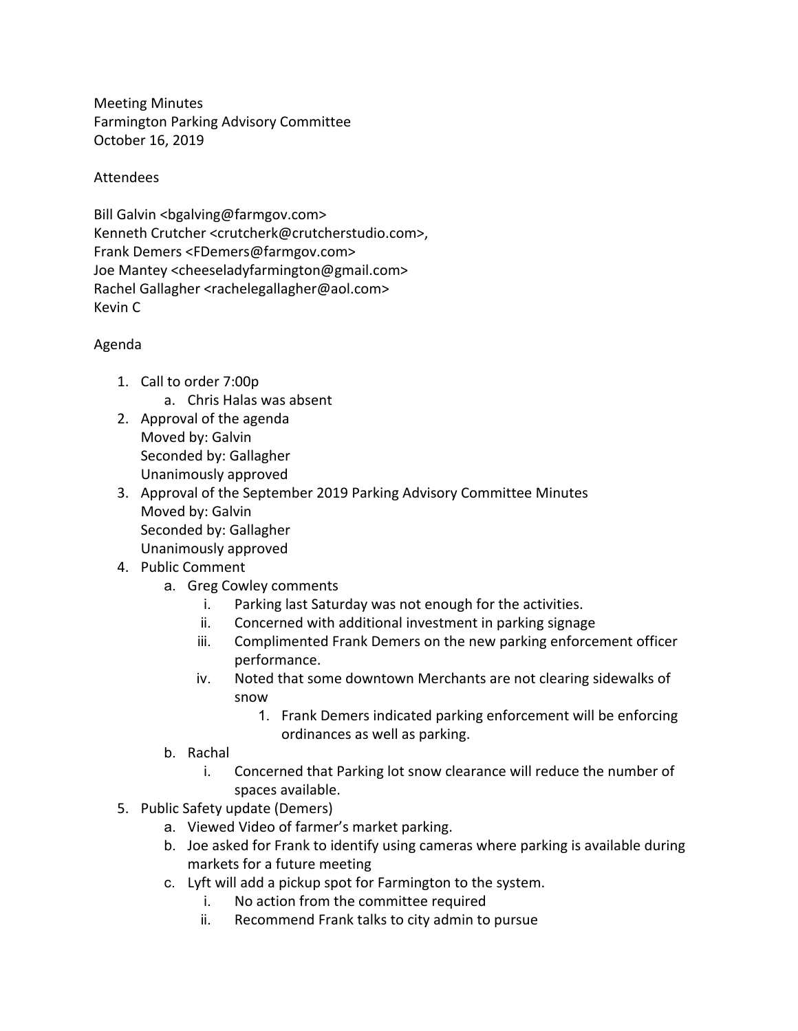Meeting Minutes Farmington Parking Advisory Committee October 16, 2019

## Attendees

Bill Galvin <br/>bgalving@farmgov.com> Kenneth Crutcher <crutcherk@crutcherstudio.com>, Frank Demers <FDemers@farmgov.com> Joe Mantey <cheeseladyfarmington@gmail.com> Rachel Gallagher <rachelegallagher@aol.com> Kevin C

## Agenda

- 1. Call to order 7:00p
	- a. Chris Halas was absent
- 2. Approval of the agenda Moved by: Galvin Seconded by: Gallagher Unanimously approved
- 3. Approval of the September 2019 Parking Advisory Committee Minutes Moved by: Galvin Seconded by: Gallagher Unanimously approved
- 4. Public Comment
	- a. Greg Cowley comments
		- i. Parking last Saturday was not enough for the activities.
		- ii. Concerned with additional investment in parking signage
		- iii. Complimented Frank Demers on the new parking enforcement officer performance.
		- iv. Noted that some downtown Merchants are not clearing sidewalks of snow
			- 1. Frank Demers indicated parking enforcement will be enforcing ordinances as well as parking.
	- b. Rachal
		- i. Concerned that Parking lot snow clearance will reduce the number of spaces available.
- 5. Public Safety update (Demers)
	- a. Viewed Video of farmer's market parking.
	- b. Joe asked for Frank to identify using cameras where parking is available during markets for a future meeting
	- c. Lyft will add a pickup spot for Farmington to the system.
		- i. No action from the committee required
		- ii. Recommend Frank talks to city admin to pursue